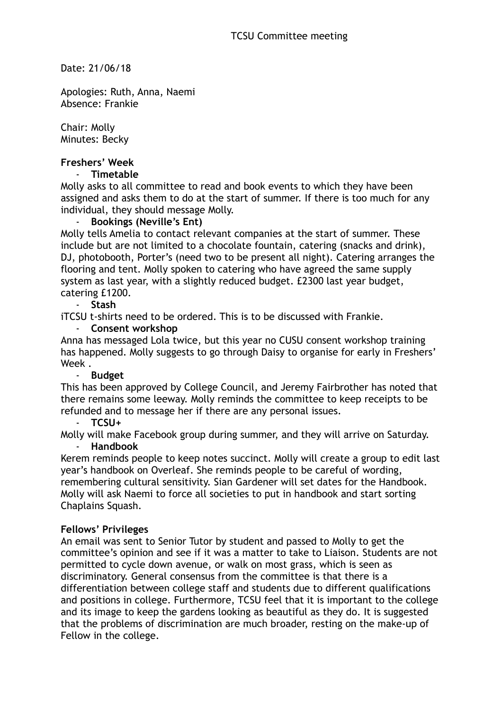Date: 21/06/18

Apologies: Ruth, Anna, Naemi Absence: Frankie

Chair: Molly Minutes: Becky

### **Freshers' Week**

#### - **Timetable**

Molly asks to all committee to read and book events to which they have been assigned and asks them to do at the start of summer. If there is too much for any individual, they should message Molly.

#### - **Bookings (Neville's Ent)**

Molly tells Amelia to contact relevant companies at the start of summer. These include but are not limited to a chocolate fountain, catering (snacks and drink), DJ, photobooth, Porter's (need two to be present all night). Catering arranges the flooring and tent. Molly spoken to catering who have agreed the same supply system as last year, with a slightly reduced budget. £2300 last year budget, catering £1200.

#### - **Stash**

iTCSU t-shirts need to be ordered. This is to be discussed with Frankie.

#### - **Consent workshop**

Anna has messaged Lola twice, but this year no CUSU consent workshop training has happened. Molly suggests to go through Daisy to organise for early in Freshers' Week .

#### - **Budget**

This has been approved by College Council, and Jeremy Fairbrother has noted that there remains some leeway. Molly reminds the committee to keep receipts to be refunded and to message her if there are any personal issues.

- **TCSU+**

Molly will make Facebook group during summer, and they will arrive on Saturday. - **Handbook**

Kerem reminds people to keep notes succinct. Molly will create a group to edit last year's handbook on Overleaf. She reminds people to be careful of wording, remembering cultural sensitivity. Sian Gardener will set dates for the Handbook. Molly will ask Naemi to force all societies to put in handbook and start sorting Chaplains Squash.

#### **Fellows' Privileges**

An email was sent to Senior Tutor by student and passed to Molly to get the committee's opinion and see if it was a matter to take to Liaison. Students are not permitted to cycle down avenue, or walk on most grass, which is seen as discriminatory. General consensus from the committee is that there is a differentiation between college staff and students due to different qualifications and positions in college. Furthermore, TCSU feel that it is important to the college and its image to keep the gardens looking as beautiful as they do. It is suggested that the problems of discrimination are much broader, resting on the make-up of Fellow in the college.